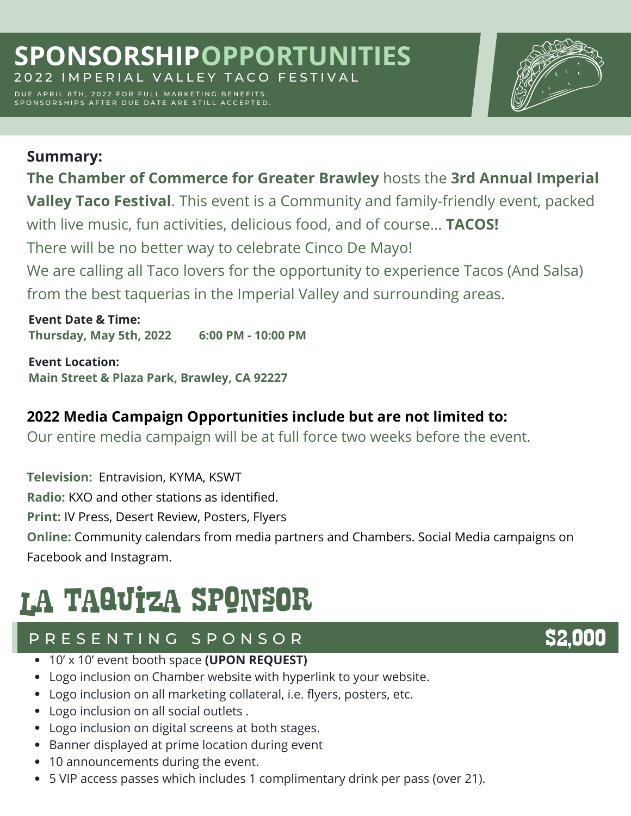DUE APRIL 8TH, 2022 FOR FULL MARKETING BENEFITS. SPONSORSHIPS AFTER DUE DATE ARE STILL ACCEPTED.



### **Summary: The Chamber of Commerce for Greater Brawley** hosts the **3rd Annual Imperial Valley Taco Festival**. This event is a Community and family-friendly event, packed with live music, fun activities, delicious food, and of course... **TACOS!** There will be no better way to celebrate Cinco De Mayo! We are calling all Taco lovers for the opportunity to experience Tacos (And Salsa) from the best taquerias in the Imperial Valley and surrounding areas.

**Event Date & Time: Thursday, May 5th, 2022 6:00 PM - 10:00 PM**

**Event Location: Main Street & Plaza Park, Brawley, CA 92227**

#### **2022 Media Campaign Opportunities include but are not limited to:**

Our entire media campaign will be at full force two weeks before the event.

**Television:** Entravision, KYMA, KSWT **Radio:** KXO and other stations as identified. **Print:** IV Press, Desert Review, Posters, Flyers **Online:** Community calendars from media partners and Chambers. Social Media campaigns on Facebook and Instagram.

# la Taquiza SponsOr

#### P R E S E N T I N G S P O N S O R

- 10' x 10' event booth space **(UPON REQUEST)**
- Logo inclusion on Chamber website with hyperlink to your website.
- Logo inclusion on all marketing collateral, i.e. flyers, posters, etc.
- Logo inclusion on all social outlets .
- Logo inclusion on digital screens at both stages.
- Banner displayed at prime location during event
- 10 announcements during the event.
- 5 VIP access passes which includes 1 complimentary drink per pass (over 21).

## \$2,000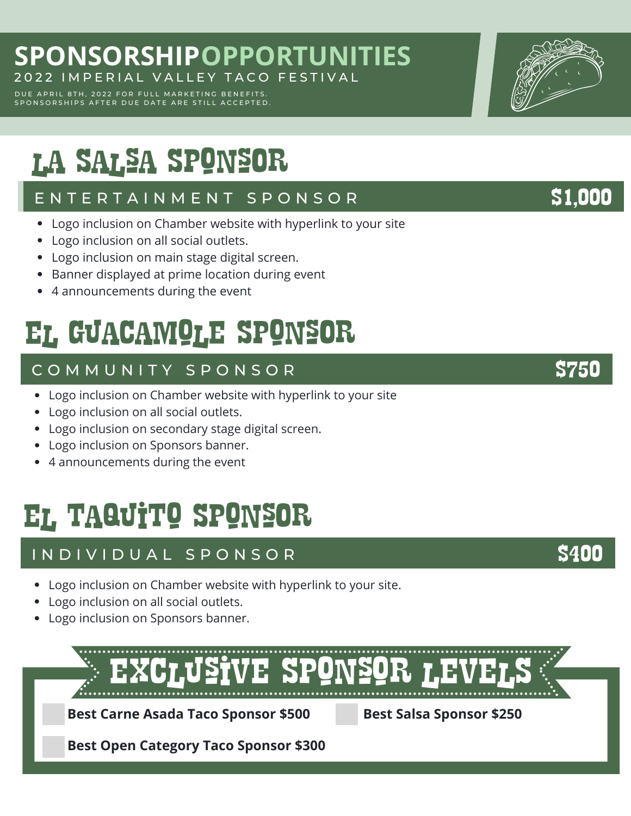#### **SPONSORSHIP OPPORTUNITIES** 2022 IMPERIAL VALLEY TACO FESTIVAL

DUE APRIL 8TH, 2022 FOR FULL MARKETING BENEFITS. SPONSORSHIPS AFTER DUE DATE ARE STILL ACCEPTED.

la Salsa SponsOr

#### E N T E R T A I N M E N T S P O N S O R ST LONGS AND SILODO

- Logo inclusion on Chamber website with hyperlink to your site
- Logo inclusion on all social outlets.
- Logo inclusion on main stage digital screen.
- Banner displayed at prime location during event
- 4 announcements during the event

## El guacamole SponsOr

#### C O M M U N I T Y S P O N S O R \$750

- Logo inclusion on Chamber website with hyperlink to your site
- Logo inclusion on all social outlets.
- Logo inclusion on secondary stage digital screen.
- Logo inclusion on Sponsors banner.
- 4 announcements during the event

## el taquito SponsOr

#### I N D I V I D U A L S P O N S O R

- Logo inclusion on Chamber website with hyperlink to your site.
- Logo inclusion on all social outlets.
- Logo inclusion on Sponsors banner.

exclusive Sponsor levelS **Best Carne Asada Taco Sponsor \$500 Best Salsa Sponsor \$250 Best Open Category Taco Sponsor \$300**

\$400